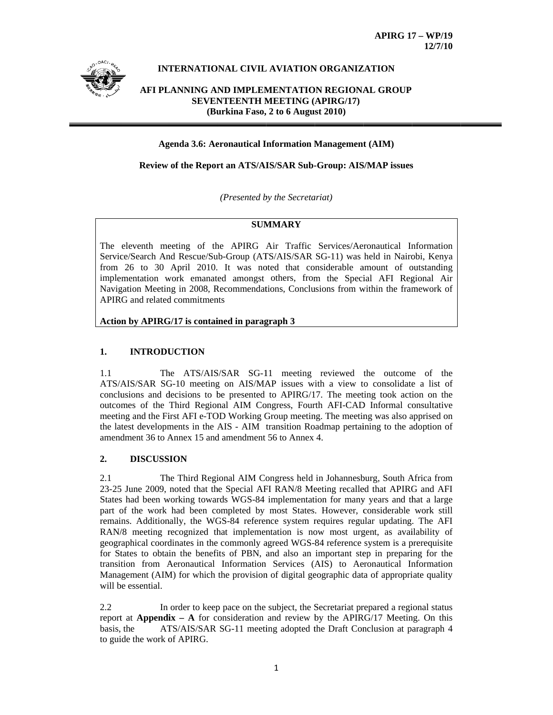

# **INTERNATIONAL CIVIL AVIATION ORGANIZATION**

# AFI PLANNING AND IMPLEMENTATION REGIONAL GROUP **SEVENTEENTH MEETING (APIRG/17)** (Burkina Faso, 2 to 6 August 2010)

### **Agenda 3.6: Aeronautical Information Management (AIM)**

### Review of the Report an ATS/AIS/SAR Sub-Group: AIS/MAP issues

(Presented by the Secretariat)

# **SUMMARY**

The eleventh meeting of the APIRG Air Traffic Services/Aeronautical Information Service/Search And Rescue/Sub-Group (ATS/AIS/SAR SG-11) was held in Nairobi, Kenya from 26 to 30 April 2010. It was noted that considerable amount of outstanding implementation work emanated amongst others, from the Special AFI Regional Air Navigation Meeting in 2008, Recommendations, Conclusions from within the framework of APIRG and related commitments

### Action by APIRG/17 is contained in paragraph 3

#### $1.$ **INTRODUCTION**

The ATS/AIS/SAR SG-11 meeting reviewed the outcome of the  $1.1$ ATS/AIS/SAR SG-10 meeting on AIS/MAP issues with a view to consolidate a list of conclusions and decisions to be presented to APIRG/17. The meeting took action on the outcomes of the Third Regional AIM Congress, Fourth AFI-CAD Informal consultative meeting and the First AFI e-TOD Working Group meeting. The meeting was also apprised on the latest developments in the AIS - AIM transition Roadmap pertaining to the adoption of amendment 36 to Annex 15 and amendment 56 to Annex 4.

#### **DISCUSSION**  $2.$

The Third Regional AIM Congress held in Johannesburg, South Africa from 2.1 23-25 June 2009, noted that the Special AFI RAN/8 Meeting recalled that APIRG and AFI States had been working towards WGS-84 implementation for many years and that a large part of the work had been completed by most States. However, considerable work still remains. Additionally, the WGS-84 reference system requires regular updating. The AFI RAN/8 meeting recognized that implementation is now most urgent, as availability of geographical coordinates in the commonly agreed WGS-84 reference system is a prerequisite for States to obtain the benefits of PBN, and also an important step in preparing for the transition from Aeronautical Information Services (AIS) to Aeronautical Information Management (AIM) for which the provision of digital geographic data of appropriate quality will be essential.

 $2.2$ In order to keep pace on the subject, the Secretariat prepared a regional status report at **Appendix** – A for consideration and review by the APIRG/17 Meeting. On this ATS/AIS/SAR SG-11 meeting adopted the Draft Conclusion at paragraph 4 basis, the to guide the work of APIRG.